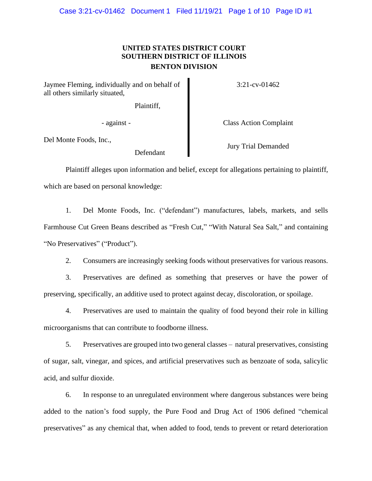## **UNITED STATES DISTRICT COURT SOUTHERN DISTRICT OF ILLINOIS BENTON DIVISION**

Jaymee Fleming, individually and on behalf of all others similarly situated,

Plaintiff,

Del Monte Foods, Inc.,

Defendant

3:21-cv-01462

- against - Class Action Complaint

Jury Trial Demanded

Plaintiff alleges upon information and belief, except for allegations pertaining to plaintiff, which are based on personal knowledge:

1. Del Monte Foods, Inc. ("defendant") manufactures, labels, markets, and sells Farmhouse Cut Green Beans described as "Fresh Cut," "With Natural Sea Salt," and containing "No Preservatives" ("Product").

2. Consumers are increasingly seeking foods without preservatives for various reasons.

3. Preservatives are defined as something that preserves or have the power of preserving, specifically, an additive used to protect against decay, discoloration, or spoilage.

4. Preservatives are used to maintain the quality of food beyond their role in killing microorganisms that can contribute to foodborne illness.

5. Preservatives are grouped into two general classes – natural preservatives, consisting of sugar, salt, vinegar, and spices, and artificial preservatives such as benzoate of soda, salicylic acid, and sulfur dioxide.

6. In response to an unregulated environment where dangerous substances were being added to the nation's food supply, the Pure Food and Drug Act of 1906 defined "chemical preservatives" as any chemical that, when added to food, tends to prevent or retard deterioration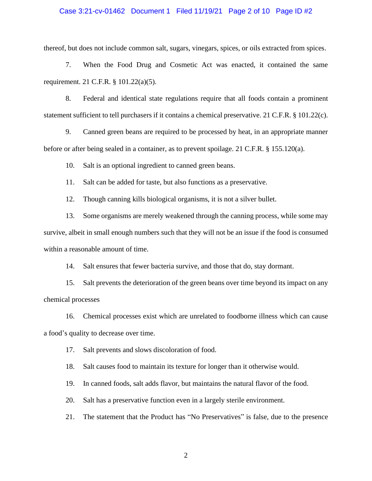## Case 3:21-cv-01462 Document 1 Filed 11/19/21 Page 2 of 10 Page ID #2

thereof, but does not include common salt, sugars, vinegars, spices, or oils extracted from spices.

7. When the Food Drug and Cosmetic Act was enacted, it contained the same requirement. 21 C.F.R. § 101.22(a)(5).

8. Federal and identical state regulations require that all foods contain a prominent statement sufficient to tell purchasers if it contains a chemical preservative. 21 C.F.R. § 101.22(c).

9. Canned green beans are required to be processed by heat, in an appropriate manner before or after being sealed in a container, as to prevent spoilage. 21 C.F.R. § 155.120(a).

10. Salt is an optional ingredient to canned green beans.

11. Salt can be added for taste, but also functions as a preservative.

12. Though canning kills biological organisms, it is not a silver bullet.

13. Some organisms are merely weakened through the canning process, while some may survive, albeit in small enough numbers such that they will not be an issue if the food is consumed within a reasonable amount of time.

14. Salt ensures that fewer bacteria survive, and those that do, stay dormant.

15. Salt prevents the deterioration of the green beans over time beyond its impact on any chemical processes

16. Chemical processes exist which are unrelated to foodborne illness which can cause a food's quality to decrease over time.

17. Salt prevents and slows discoloration of food.

18. Salt causes food to maintain its texture for longer than it otherwise would.

19. In canned foods, salt adds flavor, but maintains the natural flavor of the food.

20. Salt has a preservative function even in a largely sterile environment.

21. The statement that the Product has "No Preservatives" is false, due to the presence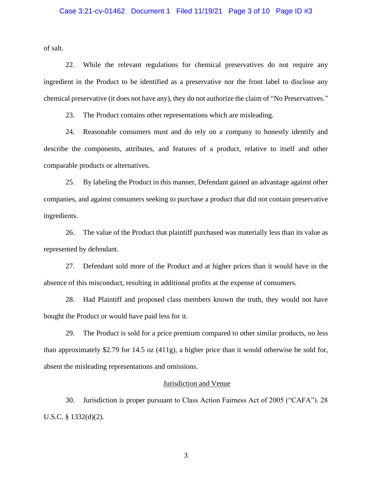## Case 3:21-cv-01462 Document 1 Filed 11/19/21 Page 3 of 10 Page ID #3

of salt.

22. While the relevant regulations for chemical preservatives do not require any ingredient in the Product to be identified as a preservative nor the front label to disclose any chemical preservative (it does not have any), they do not authorize the claim of "No Preservatives."

23. The Product contains other representations which are misleading.

24. Reasonable consumers must and do rely on a company to honestly identify and describe the components, attributes, and features of a product, relative to itself and other comparable products or alternatives.

25. By labeling the Product in this manner, Defendant gained an advantage against other companies, and against consumers seeking to purchase a product that did not contain preservative ingredients.

26. The value of the Product that plaintiff purchased was materially less than its value as represented by defendant.

27. Defendant sold more of the Product and at higher prices than it would have in the absence of this misconduct, resulting in additional profits at the expense of consumers.

28. Had Plaintiff and proposed class members known the truth, they would not have bought the Product or would have paid less for it.

29. The Product is sold for a price premium compared to other similar products, no less than approximately \$2.79 for 14.5 oz (411g), a higher price than it would otherwise be sold for, absent the misleading representations and omissions.

#### Jurisdiction and Venue

30. Jurisdiction is proper pursuant to Class Action Fairness Act of 2005 ("CAFA"). 28 U.S.C. § 1332(d)(2).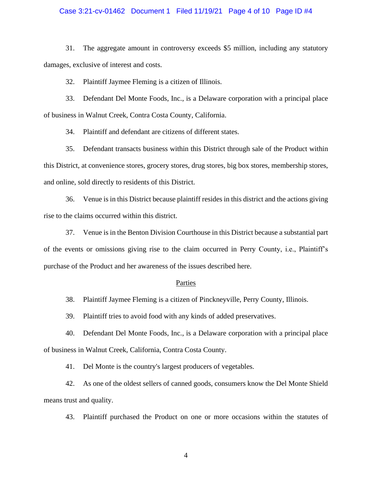## Case 3:21-cv-01462 Document 1 Filed 11/19/21 Page 4 of 10 Page ID #4

31. The aggregate amount in controversy exceeds \$5 million, including any statutory damages, exclusive of interest and costs.

32. Plaintiff Jaymee Fleming is a citizen of Illinois.

33. Defendant Del Monte Foods, Inc., is a Delaware corporation with a principal place of business in Walnut Creek, Contra Costa County, California.

34. Plaintiff and defendant are citizens of different states.

35. Defendant transacts business within this District through sale of the Product within this District, at convenience stores, grocery stores, drug stores, big box stores, membership stores, and online, sold directly to residents of this District.

36. Venue is in this District because plaintiff resides in this district and the actions giving rise to the claims occurred within this district.

37. Venue is in the Benton Division Courthouse in this District because a substantial part of the events or omissions giving rise to the claim occurred in Perry County, i.e., Plaintiff's purchase of the Product and her awareness of the issues described here.

#### Parties

38. Plaintiff Jaymee Fleming is a citizen of Pinckneyville, Perry County, Illinois.

39. Plaintiff tries to avoid food with any kinds of added preservatives.

40. Defendant Del Monte Foods, Inc., is a Delaware corporation with a principal place of business in Walnut Creek, California, Contra Costa County.

41. Del Monte is the country's largest producers of vegetables.

42. As one of the oldest sellers of canned goods, consumers know the Del Monte Shield means trust and quality.

43. Plaintiff purchased the Product on one or more occasions within the statutes of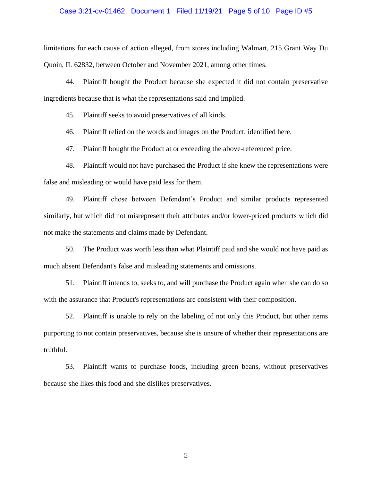#### Case 3:21-cv-01462 Document 1 Filed 11/19/21 Page 5 of 10 Page ID #5

limitations for each cause of action alleged, from stores including Walmart, 215 Grant Way Du Quoin, IL 62832, between October and November 2021, among other times.

44. Plaintiff bought the Product because she expected it did not contain preservative ingredients because that is what the representations said and implied.

45. Plaintiff seeks to avoid preservatives of all kinds.

46. Plaintiff relied on the words and images on the Product, identified here.

47. Plaintiff bought the Product at or exceeding the above-referenced price.

48. Plaintiff would not have purchased the Product if she knew the representations were false and misleading or would have paid less for them.

49. Plaintiff chose between Defendant's Product and similar products represented similarly, but which did not misrepresent their attributes and/or lower-priced products which did not make the statements and claims made by Defendant.

50. The Product was worth less than what Plaintiff paid and she would not have paid as much absent Defendant's false and misleading statements and omissions.

51. Plaintiff intends to, seeks to, and will purchase the Product again when she can do so with the assurance that Product's representations are consistent with their composition.

52. Plaintiff is unable to rely on the labeling of not only this Product, but other items purporting to not contain preservatives, because she is unsure of whether their representations are truthful.

53. Plaintiff wants to purchase foods, including green beans, without preservatives because she likes this food and she dislikes preservatives.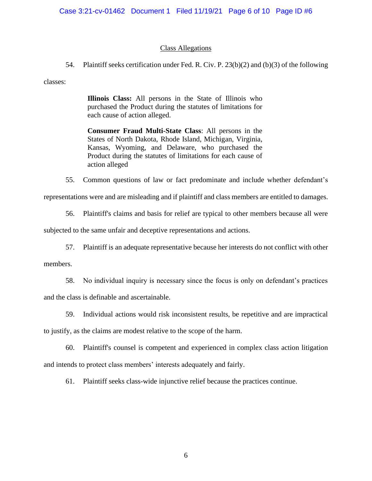## Class Allegations

54. Plaintiff seeks certification under Fed. R. Civ. P. 23(b)(2) and (b)(3) of the following

classes:

**Illinois Class:** All persons in the State of Illinois who purchased the Product during the statutes of limitations for each cause of action alleged.

**Consumer Fraud Multi-State Class**: All persons in the States of North Dakota, Rhode Island, Michigan, Virginia, Kansas, Wyoming, and Delaware, who purchased the Product during the statutes of limitations for each cause of action alleged

55. Common questions of law or fact predominate and include whether defendant's representations were and are misleading and if plaintiff and class members are entitled to damages.

56. Plaintiff's claims and basis for relief are typical to other members because all were subjected to the same unfair and deceptive representations and actions.

57. Plaintiff is an adequate representative because her interests do not conflict with other

members.

58. No individual inquiry is necessary since the focus is only on defendant's practices and the class is definable and ascertainable.

59. Individual actions would risk inconsistent results, be repetitive and are impractical

to justify, as the claims are modest relative to the scope of the harm.

60. Plaintiff's counsel is competent and experienced in complex class action litigation and intends to protect class members' interests adequately and fairly.

61. Plaintiff seeks class-wide injunctive relief because the practices continue.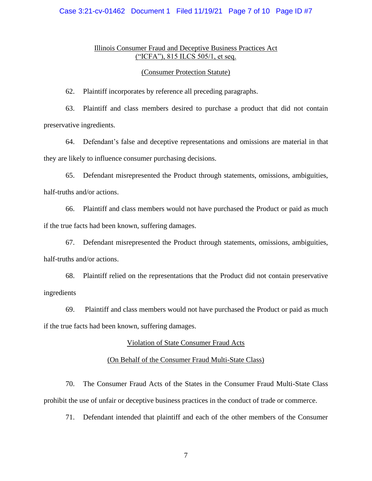## Case 3:21-cv-01462 Document 1 Filed 11/19/21 Page 7 of 10 Page ID #7

## Illinois Consumer Fraud and Deceptive Business Practices Act ("ICFA"), 815 ILCS 505/1, et seq.

## (Consumer Protection Statute)

62. Plaintiff incorporates by reference all preceding paragraphs.

63. Plaintiff and class members desired to purchase a product that did not contain preservative ingredients.

64. Defendant's false and deceptive representations and omissions are material in that they are likely to influence consumer purchasing decisions.

65. Defendant misrepresented the Product through statements, omissions, ambiguities, half-truths and/or actions.

66. Plaintiff and class members would not have purchased the Product or paid as much if the true facts had been known, suffering damages.

67. Defendant misrepresented the Product through statements, omissions, ambiguities, half-truths and/or actions.

68. Plaintiff relied on the representations that the Product did not contain preservative ingredients

69. Plaintiff and class members would not have purchased the Product or paid as much if the true facts had been known, suffering damages.

#### Violation of State Consumer Fraud Acts

## (On Behalf of the Consumer Fraud Multi-State Class)

70. The Consumer Fraud Acts of the States in the Consumer Fraud Multi-State Class prohibit the use of unfair or deceptive business practices in the conduct of trade or commerce.

71. Defendant intended that plaintiff and each of the other members of the Consumer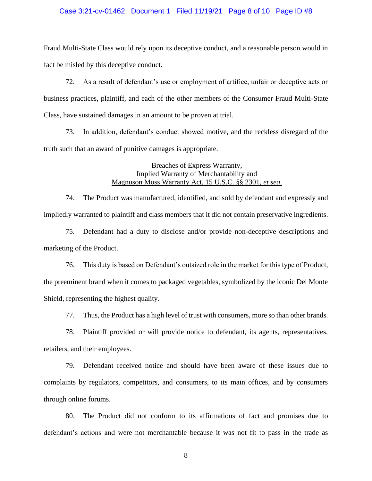## Case 3:21-cv-01462 Document 1 Filed 11/19/21 Page 8 of 10 Page ID #8

Fraud Multi-State Class would rely upon its deceptive conduct, and a reasonable person would in fact be misled by this deceptive conduct.

72. As a result of defendant's use or employment of artifice, unfair or deceptive acts or business practices, plaintiff, and each of the other members of the Consumer Fraud Multi-State Class, have sustained damages in an amount to be proven at trial.

73. In addition, defendant's conduct showed motive, and the reckless disregard of the truth such that an award of punitive damages is appropriate.

## Breaches of Express Warranty, Implied Warranty of Merchantability and Magnuson Moss Warranty Act, 15 U.S.C. §§ 2301, *et seq*.

74. The Product was manufactured, identified, and sold by defendant and expressly and impliedly warranted to plaintiff and class members that it did not contain preservative ingredients.

75. Defendant had a duty to disclose and/or provide non-deceptive descriptions and marketing of the Product.

76. This duty is based on Defendant's outsized role in the market for this type of Product, the preeminent brand when it comes to packaged vegetables, symbolized by the iconic Del Monte Shield, representing the highest quality.

77. Thus, the Product has a high level of trust with consumers, more so than other brands.

78. Plaintiff provided or will provide notice to defendant, its agents, representatives, retailers, and their employees.

79. Defendant received notice and should have been aware of these issues due to complaints by regulators, competitors, and consumers, to its main offices, and by consumers through online forums.

80. The Product did not conform to its affirmations of fact and promises due to defendant's actions and were not merchantable because it was not fit to pass in the trade as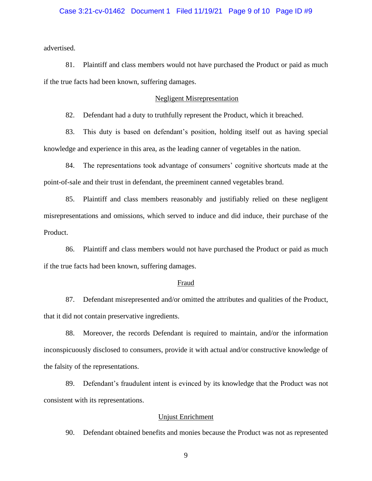## Case 3:21-cv-01462 Document 1 Filed 11/19/21 Page 9 of 10 Page ID #9

advertised.

81. Plaintiff and class members would not have purchased the Product or paid as much if the true facts had been known, suffering damages.

## Negligent Misrepresentation

82. Defendant had a duty to truthfully represent the Product, which it breached.

83. This duty is based on defendant's position, holding itself out as having special knowledge and experience in this area, as the leading canner of vegetables in the nation.

84. The representations took advantage of consumers' cognitive shortcuts made at the point-of-sale and their trust in defendant, the preeminent canned vegetables brand.

85. Plaintiff and class members reasonably and justifiably relied on these negligent misrepresentations and omissions, which served to induce and did induce, their purchase of the Product.

86. Plaintiff and class members would not have purchased the Product or paid as much if the true facts had been known, suffering damages.

#### Fraud

87. Defendant misrepresented and/or omitted the attributes and qualities of the Product, that it did not contain preservative ingredients.

88. Moreover, the records Defendant is required to maintain, and/or the information inconspicuously disclosed to consumers, provide it with actual and/or constructive knowledge of the falsity of the representations.

89. Defendant's fraudulent intent is evinced by its knowledge that the Product was not consistent with its representations.

## Unjust Enrichment

90. Defendant obtained benefits and monies because the Product was not as represented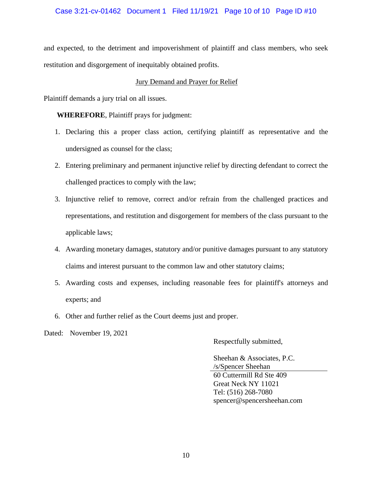## Case 3:21-cv-01462 Document 1 Filed 11/19/21 Page 10 of 10 Page ID #10

and expected, to the detriment and impoverishment of plaintiff and class members, who seek restitution and disgorgement of inequitably obtained profits.

## Jury Demand and Prayer for Relief

Plaintiff demands a jury trial on all issues.

**WHEREFORE**, Plaintiff prays for judgment:

- 1. Declaring this a proper class action, certifying plaintiff as representative and the undersigned as counsel for the class;
- 2. Entering preliminary and permanent injunctive relief by directing defendant to correct the challenged practices to comply with the law;
- 3. Injunctive relief to remove, correct and/or refrain from the challenged practices and representations, and restitution and disgorgement for members of the class pursuant to the applicable laws;
- 4. Awarding monetary damages, statutory and/or punitive damages pursuant to any statutory claims and interest pursuant to the common law and other statutory claims;
- 5. Awarding costs and expenses, including reasonable fees for plaintiff's attorneys and experts; and
- 6. Other and further relief as the Court deems just and proper.

Dated: November 19, 2021

Respectfully submitted,

Sheehan & Associates, P.C. /s/Spencer Sheehan 60 Cuttermill Rd Ste 409 Great Neck NY 11021 Tel: (516) 268-7080 spencer@spencersheehan.com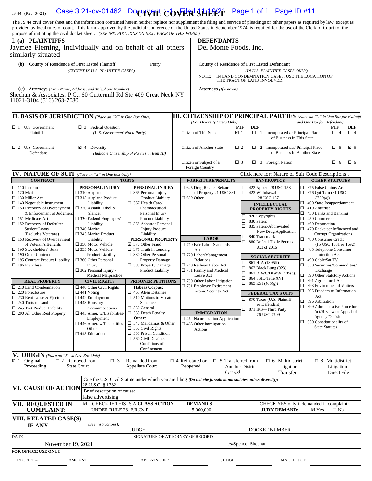## 1S 44 (Rev. 04/21) Case 3:21-cv-01462 Document **COVER SHEET** Page 1 of 1 Page ID #11

The JS 44 civil cover sheet and the information contained herein neither replace nor supplement the filing and service of pleadings or other papers as required by law, except as provided by local rules of court. This form, approved by the Judicial Conference of the United States in September 1974, is required for the use of the Clerk of Court for the purpose of initiating the civil docket sheet. *(SEE INSTRUCTIONS ON NEXT PAGE OF THIS FORM.)*

| purpose of initiating the civil docket sheet. (SEE INSTRUCTIONS ON NEXT PAGE OF THIS FORM.)<br>I. (a) PLAINTIFFS<br>Jaymee Fleming, individually and on behalf of all others<br>similarly situated |                                                                                                                                                                                                                     |                                                                                                                                                                                                                                                                            |                                                                                                                                                                              | <b>DEFENDANTS</b><br>Del Monte Foods, Inc.                                                                                       |                             |                                                                                                                 |                                                                                                                                                                                                                                                            |                                                       |                        |
|----------------------------------------------------------------------------------------------------------------------------------------------------------------------------------------------------|---------------------------------------------------------------------------------------------------------------------------------------------------------------------------------------------------------------------|----------------------------------------------------------------------------------------------------------------------------------------------------------------------------------------------------------------------------------------------------------------------------|------------------------------------------------------------------------------------------------------------------------------------------------------------------------------|----------------------------------------------------------------------------------------------------------------------------------|-----------------------------|-----------------------------------------------------------------------------------------------------------------|------------------------------------------------------------------------------------------------------------------------------------------------------------------------------------------------------------------------------------------------------------|-------------------------------------------------------|------------------------|
| (b) County of Residence of First Listed Plaintiff                                                                                                                                                  | (EXCEPT IN U.S. PLAINTIFF CASES)                                                                                                                                                                                    | Perry                                                                                                                                                                                                                                                                      |                                                                                                                                                                              | County of Residence of First Listed Defendant                                                                                    |                             |                                                                                                                 |                                                                                                                                                                                                                                                            |                                                       |                        |
|                                                                                                                                                                                                    |                                                                                                                                                                                                                     |                                                                                                                                                                                                                                                                            |                                                                                                                                                                              | (IN U.S. PLAINTIFF CASES ONLY)<br>IN LAND CONDEMNATION CASES, USE THE LOCATION OF<br>NOTE:<br>THE TRACT OF LAND INVOLVED.        |                             |                                                                                                                 |                                                                                                                                                                                                                                                            |                                                       |                        |
| (C) Attorneys (Firm Name, Address, and Telephone Number)<br>Sheehan & Associates, P.C., 60 Cuttermill Rd Ste 409 Great Neck NY<br>11021-3104 (516) 268-7080                                        |                                                                                                                                                                                                                     |                                                                                                                                                                                                                                                                            |                                                                                                                                                                              | Attorneys (If Known)                                                                                                             |                             |                                                                                                                 |                                                                                                                                                                                                                                                            |                                                       |                        |
| <b>II. BASIS OF JURISDICTION</b> (Place an "X" in One Box Only)                                                                                                                                    |                                                                                                                                                                                                                     |                                                                                                                                                                                                                                                                            |                                                                                                                                                                              | (For Diversity Cases Only)                                                                                                       |                             | <b>III. CITIZENSHIP OF PRINCIPAL PARTIES</b> (Place an "X" in One Box for Plaintiff                             | and One Box for Defendant)                                                                                                                                                                                                                                 |                                                       |                        |
| $\Box$ 1 U.S. Government<br>$\Box$ 3 Federal Question<br>Plaintiff<br>(U.S. Government Not a Party)                                                                                                |                                                                                                                                                                                                                     |                                                                                                                                                                                                                                                                            |                                                                                                                                                                              | Citizen of This State                                                                                                            | <b>PTF</b><br>$\boxtimes$ 1 | <b>DEF</b><br>$\Box$ 1 Incorporated or Principal Place<br>of Business In This State                             |                                                                                                                                                                                                                                                            | <b>PTF</b><br>$\Box$ 4                                | <b>DEF</b><br>$\Box$ 4 |
| $\Box$ 2 U.S. Government<br>Defendant                                                                                                                                                              | $\boxtimes$ 4 Diversity                                                                                                                                                                                             | (Indicate Citizenship of Parties in Item III)                                                                                                                                                                                                                              |                                                                                                                                                                              | Citizen of Another State                                                                                                         | $\Box$ 2                    | $\Box$ 2 Incorporated <i>and</i> Principal Place<br>of Business In Another State                                |                                                                                                                                                                                                                                                            | $\Box$ 5                                              | ⊠ 5                    |
|                                                                                                                                                                                                    |                                                                                                                                                                                                                     |                                                                                                                                                                                                                                                                            |                                                                                                                                                                              | Citizen or Subject of a<br>Foreign Country                                                                                       | $\Box$ 3                    | $\Box$ 3 Foreign Nation                                                                                         |                                                                                                                                                                                                                                                            | $\Box$ 6                                              | $\square$ 6            |
| <b>IV. NATURE OF SUIT</b> (Place an "X" in One Box Only)<br><b>CONTRACT</b>                                                                                                                        |                                                                                                                                                                                                                     | <b>TORTS</b>                                                                                                                                                                                                                                                               |                                                                                                                                                                              | <b>FORFEITURE/PENALTY</b>                                                                                                        |                             | Click here for: Nature of Suit Code Descriptions.<br><b>BANKRUPTCY</b>                                          |                                                                                                                                                                                                                                                            | <b>OTHER STATUTES</b>                                 |                        |
| $\Box$ 110 Insurance<br>$\Box$ 120 Marine<br>$\Box$ 130 Miller Act<br>$\Box$ 140 Negotiable Instrument                                                                                             | PERSONAL INJURY<br>$\Box$ 310 Airplane<br>$\square$ 315 Airplane Product<br>Liability<br>$\Box$ 320 Assault, Libel &                                                                                                | PERSONAL INJURY<br>$\Box$ 365 Personal Injury -<br><b>Product Liability</b><br>$\Box$ 367 Health Care/<br>Pharmaceutical                                                                                                                                                   | □ 625 Drug Related Seizure<br>of Property 21 USC 881<br>$\square$ 690 Other<br><b>LABOR</b><br>□ 710 Fair Labor Standards<br>Act<br>$\Box$ 720 Labor/Management<br>Relations |                                                                                                                                  | $\Box$                      | $\Box$ 422 Appeal 28 USC 158<br>423 Withdrawal<br>28 USC 157<br><b>INTELLECTUAL</b>                             | □ 375 False Claims Act<br>$\Box$ 376 Qui Tam (31 USC<br>3729(a)<br>$\Box$ 400 State Reapportionment<br>$\Box$ 410 Antitrust                                                                                                                                |                                                       |                        |
| $\Box$ 150 Recovery of Overpayment<br>& Enforcement of Judgment<br>□ 151 Medicare Act<br>$\Box$ 152 Recovery of Defaulted<br><b>Student Loans</b><br>(Excludes Veterans)                           | Slander<br>$\Box$ 330 Federal Employers'<br>Liability<br>$\square$ 340 Marine<br>$\square$ 345 Marine Product                                                                                                       | Personal Injury<br><b>Product Liability</b><br>$\Box$ 368 Asbestos Personal<br><b>Injury Product</b><br>Liability<br>PERSONAL PROPERTY<br>$\boxtimes$ 370 Other Fraud<br>$\Box$ 371 Truth in Lending<br>$\Box$ 380 Other Personal<br><b>Property Damage</b>                |                                                                                                                                                                              |                                                                                                                                  | □<br>□<br>□<br>□            | <b>PROPERTY RIGHTS</b><br>$\Box$ 820 Copyrights<br>830 Patent<br>835 Patent-Abbreviated<br>New Drug Application | $\Box$ 430 Banks and Banking<br>$\Box$ 450 Commerce<br>$\Box$ 460 Deportation<br>470 Racketeer Influenced and<br>Corrupt Organizations<br>480 Consumer Credit<br>$(15$ USC 1681 or 1692)<br>485 Telephone Consumer<br>Protection Act<br>□ 490 Cable/Sat TV |                                                       |                        |
| $\Box$ 153 Recovery of Overpayment<br>of Veteran's Benefits<br>$\Box$ 160 Stockholders' Suits<br>$\Box$ 190 Other Contract<br>$\Box$ 195 Contract Product Liability                                | Liability<br>$\Box$ 350 Motor Vehicle<br>$\Box$ 355 Motor Vehicle<br>Product Liability<br>$\square$ 360 Other Personal                                                                                              |                                                                                                                                                                                                                                                                            |                                                                                                                                                                              |                                                                                                                                  |                             | 840 Trademark<br>880 Defend Trade Secrets<br>Act of 2016<br><b>SOCIAL SECURITY</b>                              |                                                                                                                                                                                                                                                            |                                                       |                        |
| $\Box$ 196 Franchise                                                                                                                                                                               | Injury<br>$\Box$ 362 Personal Injury -<br><b>Medical Malpractice</b>                                                                                                                                                | $\Box$ 385 Property Damage<br>Product Liability                                                                                                                                                                                                                            |                                                                                                                                                                              | □ 740 Railway Labor Act<br>□ 751 Family and Medical<br>Leave Act                                                                 | □<br>□<br>$\Box$<br>$\Box$  | 861 HIA (1395ff)<br>862 Black Lung (923)<br>863 DIWC/DIWW (405(g))<br>864 SSID Title XVI                        | □ 850 Securities/Commodities/<br>Exchange<br>□ 890 Other Statutory Actions                                                                                                                                                                                 |                                                       |                        |
| <b>REAL PROPERTY</b><br>$\Box$ 210 Land Condemnation                                                                                                                                               | <b>CIVIL RIGHTS</b><br>$\Box$ 440 Other Civil Rights                                                                                                                                                                | <b>PRISONER PETITIONS</b><br><b>Habeas Corpus:</b>                                                                                                                                                                                                                         |                                                                                                                                                                              | □ 790 Other Labor Litigation<br>□ 791 Employee Retirement                                                                        | $\Box$                      | 865 RSI (405(g))                                                                                                | $\Box$ 891 Agricultural Acts                                                                                                                                                                                                                               |                                                       |                        |
| $\Box$ 220 Foreclosure<br>$\Box$ 230 Rent Lease & Ejectment<br>$\Box$ 240 Torts to Land<br>$\Box$ 245 Tort Product Liability<br>$\Box$ 290 All Other Real Property                                 | $\Box$ 441 Voting<br>$\Box$ 442 Employment<br>$\Box$ 443 Housing/<br>Accommodations<br>$\square$ 445 Amer. w/Disabilities-<br>Employment<br>$\square$ 446 Amer. w/Disabilities-<br>Other<br>$\square$ 448 Education | $\Box$ 463 Alien Detainee<br>$\Box$ 510 Motions to Vacate<br>Sentence<br>$\Box$ 530 General<br>$\Box$ 535 Death Penalty<br>Other:<br>$\Box$ 540 Mandamus & Other<br>$\Box$ 550 Civil Rights<br>$\Box$ 555 Prison Condition<br>$\Box$ 560 Civil Detainee -<br>Conditions of |                                                                                                                                                                              | Income Security Act<br><b>IMMIGRATION</b><br>$\square$ 462 Naturalization Application<br>$\Box$ 465 Other Immigration<br>Actions | □<br>$\Box$                 | <b>FEDERAL TAX S UITS</b><br>870 Taxes (U.S. Plaintiff<br>or Defendant)<br>871 IRS-Third Party<br>26 USC 7609   | $\Box$ 893 Environmental Matters<br>□<br>895 Freedom of Information<br>Act<br>□ 896 Arbitration<br>□ 899 Administrative Procedure<br>Act/Review or Appeal of<br><b>Agency Decision</b><br>$\Box$ 950 Constitutionality of<br><b>State Statutes</b>         |                                                       |                        |
| V. ORIGIN (Place an "X" in One Box Only)<br>$\boxtimes$ 1 Original<br>Proceeding                                                                                                                   | $\Box$ 2 Removed from<br>$\Box$ 3<br><b>State Court</b>                                                                                                                                                             | Confinement<br>Remanded from<br>Appellate Court                                                                                                                                                                                                                            |                                                                                                                                                                              | $\Box$ 5 Transferred from<br>$\Box$ 4 Reinstated or<br>Reopened<br>(specify)                                                     |                             | $\Box$ 6 Multidistrict<br>Another District<br>Litigation -<br>Transfer                                          |                                                                                                                                                                                                                                                            | $\Box$ 8 Multidistrict<br>Litigation -<br>Direct File |                        |
| VI. CAUSE OF ACTION                                                                                                                                                                                | 28 U.S.C. § 1332<br>Brief description of cause:<br>false advertising                                                                                                                                                | Cite the U.S. Civil Statute under which you are filing (Do not cite jurisdictional statutes unless diversity):                                                                                                                                                             |                                                                                                                                                                              |                                                                                                                                  |                             |                                                                                                                 |                                                                                                                                                                                                                                                            |                                                       |                        |
| VII. REQUESTED IN<br><b>COMPLAINT:</b>                                                                                                                                                             | UNDER RULE 23, F.R.Cv.P.                                                                                                                                                                                            | ☑ CHECK IF THIS IS A CLASS ACTION                                                                                                                                                                                                                                          |                                                                                                                                                                              | <b>DEMAND \$</b><br>5,000,000                                                                                                    |                             | CHECK YES only if demanded in complaint:<br><b>JURY DEMAND:</b>                                                 | $\boxtimes$ Yes                                                                                                                                                                                                                                            | $\square$ No                                          |                        |
| VIII. RELATED CASE(S)<br><b>IF ANY</b>                                                                                                                                                             | (See instructions):                                                                                                                                                                                                 |                                                                                                                                                                                                                                                                            |                                                                                                                                                                              |                                                                                                                                  |                             |                                                                                                                 |                                                                                                                                                                                                                                                            |                                                       |                        |
| <b>JUDGE</b><br><b>DATE</b><br>SIGNATURE OF ATTORNEY OF RECORD                                                                                                                                     |                                                                                                                                                                                                                     |                                                                                                                                                                                                                                                                            |                                                                                                                                                                              |                                                                                                                                  |                             | DOCKET NUMBER                                                                                                   |                                                                                                                                                                                                                                                            |                                                       |                        |
| November 19, 2021                                                                                                                                                                                  |                                                                                                                                                                                                                     |                                                                                                                                                                                                                                                                            |                                                                                                                                                                              |                                                                                                                                  |                             | /s/Spencer Sheehan                                                                                              |                                                                                                                                                                                                                                                            |                                                       |                        |
| FOR OFFICE USE ONLY                                                                                                                                                                                |                                                                                                                                                                                                                     |                                                                                                                                                                                                                                                                            |                                                                                                                                                                              | <b>JUDGE</b>                                                                                                                     |                             | MAG. JUDGE                                                                                                      |                                                                                                                                                                                                                                                            |                                                       |                        |
| <b>RECEIPT#</b>                                                                                                                                                                                    | <b>AMOUNT</b>                                                                                                                                                                                                       | <b>APPLYING IFP</b>                                                                                                                                                                                                                                                        |                                                                                                                                                                              |                                                                                                                                  |                             |                                                                                                                 |                                                                                                                                                                                                                                                            |                                                       |                        |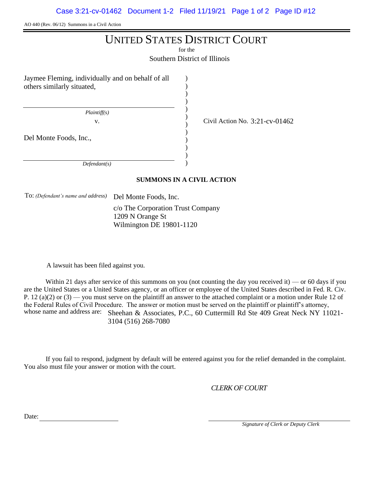AO 440 (Rev. 06/12) Summons in a Civil Action

# UNITED STATES DISTRICT COURT

for the

Southern District of Illinois

) ) ) ) ) ) ) ) ) ) ) )

Jaymee Fleming, individually and on behalf of all others similarly situated,

 *Plaintiff(s)*

v. Civil Action No.  $3:21$ -cv-01462

Del Monte Foods, Inc.,

 *Defendant(s)*

## **SUMMONS IN A CIVIL ACTION**

To: *(Defendant's name and address)* Del Monte Foods, Inc.

c/o The Corporation Trust Company 1209 N Orange St Wilmington DE 19801-1120

A lawsuit has been filed against you.

Within 21 days after service of this summons on you (not counting the day you received it) — or 60 days if you are the United States or a United States agency, or an officer or employee of the United States described in Fed. R. Civ. P. 12 (a)(2) or  $(3)$  — you must serve on the plaintiff an answer to the attached complaint or a motion under Rule 12 of the Federal Rules of Civil Procedure. The answer or motion must be served on the plaintiff or plaintiff's attorney, whose name and address are: Sheehan & Associates, P.C., 60 Cuttermill Rd Ste 409 Great Neck NY 11021-3104 (516) 268-7080

If you fail to respond, judgment by default will be entered against you for the relief demanded in the complaint. You also must file your answer or motion with the court.

*CLERK OF COURT*

Date:

 *Signature of Clerk or Deputy Clerk*